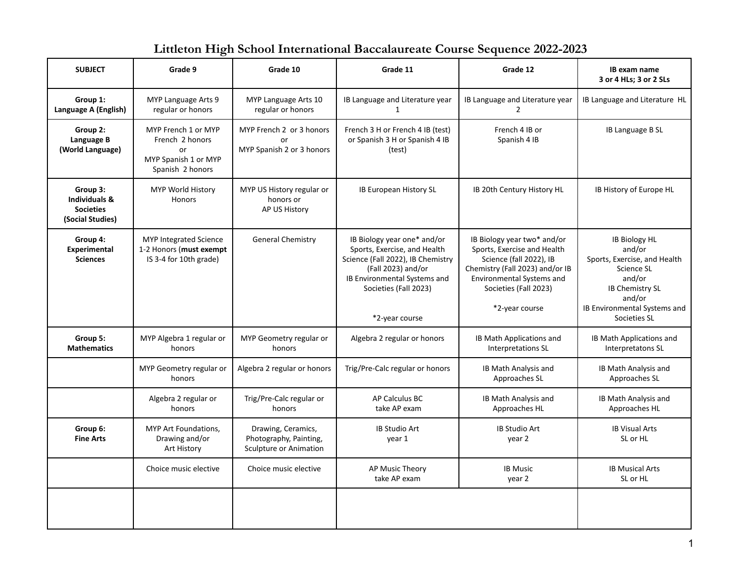## **Littleton High School International Baccalaureate Course Sequence 2022-2023**

| <b>SUBJECT</b>                                                               | Grade 9                                                                                  | Grade 10                                                                      | Grade 11                                                                                                                                                                                          | Grade 12                                                                                                                                                                                         | IB exam name<br>3 or 4 HLs; 3 or 2 SLs                                                                                                                                     |
|------------------------------------------------------------------------------|------------------------------------------------------------------------------------------|-------------------------------------------------------------------------------|---------------------------------------------------------------------------------------------------------------------------------------------------------------------------------------------------|--------------------------------------------------------------------------------------------------------------------------------------------------------------------------------------------------|----------------------------------------------------------------------------------------------------------------------------------------------------------------------------|
| Group 1:<br>Language A (English)                                             | MYP Language Arts 9<br>regular or honors                                                 | MYP Language Arts 10<br>regular or honors                                     | IB Language and Literature year<br>1                                                                                                                                                              | IB Language and Literature year<br>$\overline{2}$                                                                                                                                                | IB Language and Literature HL                                                                                                                                              |
| Group 2:<br>Language B<br>(World Language)                                   | MYP French 1 or MYP<br>French 2 honors<br>or<br>MYP Spanish 1 or MYP<br>Spanish 2 honors | MYP French 2 or 3 honors<br>or<br>MYP Spanish 2 or 3 honors                   | French 3 H or French 4 IB (test)<br>or Spanish 3 H or Spanish 4 IB<br>(test)                                                                                                                      | French 4 IB or<br>Spanish 4 IB                                                                                                                                                                   | IB Language B SL                                                                                                                                                           |
| Group 3:<br><b>Individuals &amp;</b><br><b>Societies</b><br>(Social Studies) | MYP World History<br>Honors                                                              | MYP US History regular or<br>honors or<br>AP US History                       | IB European History SL                                                                                                                                                                            | IB 20th Century History HL                                                                                                                                                                       | IB History of Europe HL                                                                                                                                                    |
| Group 4:<br><b>Experimental</b><br><b>Sciences</b>                           | <b>MYP Integrated Science</b><br>1-2 Honors (must exempt<br>IS 3-4 for 10th grade)       | <b>General Chemistry</b>                                                      | IB Biology year one* and/or<br>Sports, Exercise, and Health<br>Science (Fall 2022), IB Chemistry<br>(Fall 2023) and/or<br>IB Environmental Systems and<br>Societies (Fall 2023)<br>*2-year course | IB Biology year two* and/or<br>Sports, Exercise and Health<br>Science (fall 2022), IB<br>Chemistry (Fall 2023) and/or IB<br>Environmental Systems and<br>Societies (Fall 2023)<br>*2-year course | <b>IB Biology HL</b><br>and/or<br>Sports, Exercise, and Health<br>Science SL<br>and/or<br><b>IB Chemistry SL</b><br>and/or<br>IB Environmental Systems and<br>Societies SL |
| Group 5:<br><b>Mathematics</b>                                               | MYP Algebra 1 regular or<br>honors                                                       | MYP Geometry regular or<br>honors                                             | Algebra 2 regular or honors                                                                                                                                                                       | IB Math Applications and<br>Interpretations SL                                                                                                                                                   | IB Math Applications and<br>Interpretatons SL                                                                                                                              |
|                                                                              | MYP Geometry regular or<br>honors                                                        | Algebra 2 regular or honors                                                   | Trig/Pre-Calc regular or honors                                                                                                                                                                   | IB Math Analysis and<br>Approaches SL                                                                                                                                                            | IB Math Analysis and<br>Approaches SL                                                                                                                                      |
|                                                                              | Algebra 2 regular or<br>honors                                                           | Trig/Pre-Calc regular or<br>honors                                            | AP Calculus BC<br>take AP exam                                                                                                                                                                    | IB Math Analysis and<br>Approaches HL                                                                                                                                                            | IB Math Analysis and<br>Approaches HL                                                                                                                                      |
| Group 6:<br><b>Fine Arts</b>                                                 | MYP Art Foundations,<br>Drawing and/or<br>Art History                                    | Drawing, Ceramics,<br>Photography, Painting,<br><b>Sculpture or Animation</b> | <b>IB Studio Art</b><br>year 1                                                                                                                                                                    | <b>IB Studio Art</b><br>year 2                                                                                                                                                                   | <b>IB Visual Arts</b><br>SL or HL                                                                                                                                          |
|                                                                              | Choice music elective                                                                    | Choice music elective                                                         | AP Music Theory<br>take AP exam                                                                                                                                                                   | <b>IB Music</b><br>year 2                                                                                                                                                                        | <b>IB Musical Arts</b><br>SL or HL                                                                                                                                         |
|                                                                              |                                                                                          |                                                                               |                                                                                                                                                                                                   |                                                                                                                                                                                                  |                                                                                                                                                                            |